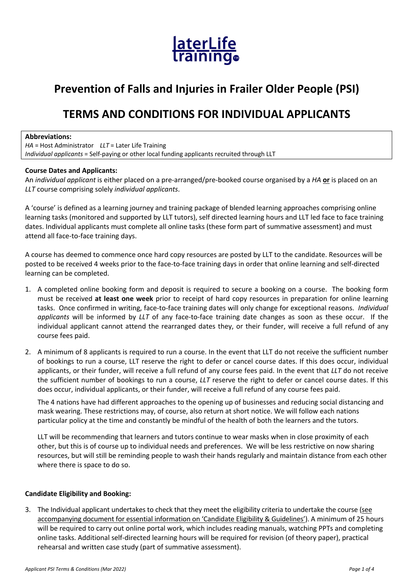

# **Prevention of Falls and Injuries in Frailer Older People (PSI)**

# **TERMS AND CONDITIONS FOR INDIVIDUAL APPLICANTS**

#### **Abbreviations:**

*HA* = Host Administrator *LLT* = Later Life Training *Individual applicants* = Self-paying or other local funding applicants recruited through LLT

## **Course Dates and Applicants:**

An *individual applicant* is either placed on a pre-arranged/pre-booked course organised by a *HA* **or** is placed on an *LLT* course comprising solely *individual applicants*.

A 'course' is defined as a learning journey and training package of blended learning approaches comprising online learning tasks (monitored and supported by LLT tutors), self directed learning hours and LLT led face to face training dates. Individual applicants must complete all online tasks (these form part of summative assessment) and must attend all face-to-face training days.

A course has deemed to commence once hard copy resources are posted by LLT to the candidate. Resources will be posted to be received 4 weeks prior to the face-to-face training days in order that online learning and self-directed learning can be completed.

- 1. A completed online booking form and deposit is required to secure a booking on a course. The booking form must be received **at least one week** prior to receipt of hard copy resources in preparation for online learning tasks. Once confirmed in writing, face-to-face training dates will only change for exceptional reasons. *Individual applicants* will be informed by *LLT* of any face-to-face training date changes as soon as these occur. If the individual applicant cannot attend the rearranged dates they, or their funder, will receive a full refund of any course fees paid.
- 2. A minimum of 8 applicants is required to run a course. In the event that LLT do not receive the sufficient number of bookings to run a course, LLT reserve the right to defer or cancel course dates. If this does occur, individual applicants, or their funder, will receive a full refund of any course fees paid. In the event that *LLT* do not receive the sufficient number of bookings to run a course, *LLT* reserve the right to defer or cancel course dates. If this does occur, individual applicants, or their funder, will receive a full refund of any course fees paid.

The 4 nations have had different approaches to the opening up of businesses and reducing social distancing and mask wearing. These restrictions may, of course, also return at short notice. We will follow each nations particular policy at the time and constantly be mindful of the health of both the learners and the tutors.

LLT will be recommending that learners and tutors continue to wear masks when in close proximity of each other, but this is of course up to individual needs and preferences. We will be less restrictive on now sharing resources, but will still be reminding people to wash their hands regularly and maintain distance from each other where there is space to do so.

## **Candidate Eligibility and Booking:**

3. The Individual applicant undertakes to check that they meet the eligibility criteria to undertake the course (see accompanying document for essential information on 'Candidate Eligibility & Guidelines'). A minimum of 25 hours will be required to carry out online portal work, which includes reading manuals, watching PPTs and completing online tasks. Additional self-directed learning hours will be required for revision (of theory paper), practical rehearsal and written case study (part of summative assessment).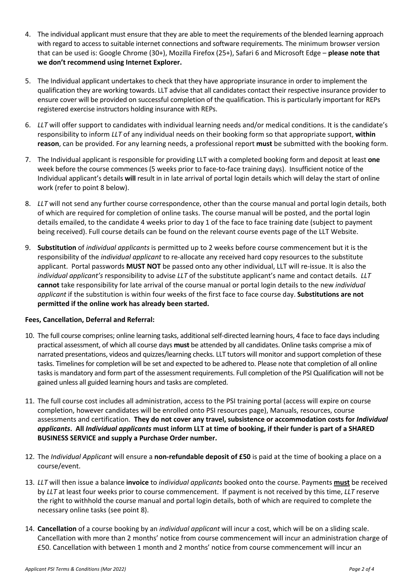- 4. The individual applicant must ensure that they are able to meet the requirements of the blended learning approach with regard to access to suitable internet connections and software requirements. The minimum browser version that can be used is: Google Chrome (30+), Mozilla Firefox (25+), Safari 6 and Microsoft Edge – **please note that we don't recommend using Internet Explorer.**
- 5. The Individual applicant undertakes to check that they have appropriate insurance in order to implement the qualification they are working towards. LLT advise that all candidates contact their respective insurance provider to ensure cover will be provided on successful completion of the qualification. This is particularly important for REPs registered exercise instructors holding insurance with REPs.
- 6. *LLT* will offer support to candidates with individual learning needs and/or medical conditions. It is the candidate's responsibility to inform *LLT* of any individual needs on their booking form so that appropriate support, **within reason**, can be provided. For any learning needs, a professional report **must** be submitted with the booking form.
- 7. The Individual applicant is responsible for providing LLT with a completed booking form and deposit at least **one** week before the course commences (5 weeks prior to face-to-face training days). Insufficient notice of the Individual applicant's details **will** result in in late arrival of portal login details which will delay the start of online work (refer to point 8 below).
- 8. *LLT* will not send any further course correspondence, other than the course manual and portal login details, both of which are required for completion of online tasks. The course manual will be posted, and the portal login details emailed, to the candidate 4 weeks prior to day 1 of the face to face training date (subject to payment being received). Full course details can be found on the relevant course events page of the LLT Website.
- 9. **Substitution** of *individual applicants* is permitted up to 2 weeks before course commencement but it is the responsibility of the *individual applicant* to re-allocate any received hard copy resources to the substitute applicant. Portal passwords **MUST NOT** be passed onto any other individual, LLT will re-issue. It is also the *individual applicant's* responsibility to advise *LLT* of the substitute applicant's name and contact details. *LLT* **cannot** take responsibility for late arrival of the course manual or portal login details to the new *individual applicant* if the substitution is within four weeks of the first face to face course day. **Substitutions are not permitted if the online work has already been started.**

## **Fees, Cancellation, Deferral and Referral:**

- 10. The full course comprises; online learning tasks, additional self-directed learning hours, 4 face to face days including practical assessment, of which all course days **must** be attended by all candidates. Online tasks comprise a mix of narrated presentations, videos and quizzes/learning checks. LLT tutors will monitor and support completion of these tasks. Timelines for completion will be set and expected to be adhered to. Please note that completion of all online tasks is mandatory and form part of the assessment requirements. Full completion of the PSI Qualification will not be gained unless all guided learning hours and tasks are completed.
- 11. The full course cost includes all administration, access to the PSI training portal (access will expire on course completion, however candidates will be enrolled onto PSI resources page), Manuals, resources, course assessments and certification. **They do not cover any travel, subsistence or accommodation costs for** *Individual applicants***. All** *Individual applicants* **must inform LLT at time of booking, if their funder is part of a SHARED BUSINESS SERVICE and supply a Purchase Order number.**
- 12. The *Individual Applicant* will ensure a **non-refundable deposit of £50** is paid at the time of booking a place on a course/event.
- 13. *LLT* will then issue a balance **invoice** to *individual applicants* booked onto the course. Payments **must** be received by *LLT* at least four weeks prior to course commencement. If payment is not received by this time, *LLT* reserve the right to withhold the course manual and portal login details, both of which are required to complete the necessary online tasks (see point 8).
- 14. **Cancellation** of a course booking by an *individual applicant* will incur a cost, which will be on a sliding scale. Cancellation with more than 2 months' notice from course commencement will incur an administration charge of £50. Cancellation with between 1 month and 2 months' notice from course commencement will incur an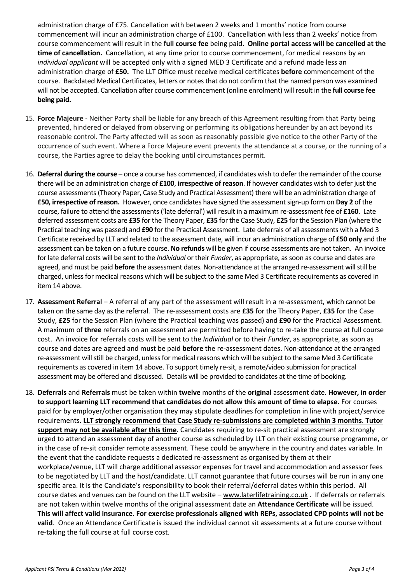administration charge of £75. Cancellation with between 2 weeks and 1 months' notice from course commencement will incur an administration charge of £100. Cancellation with less than 2 weeks' notice from course commencement will result in the **full course fee** being paid. **Online portal access will be cancelled at the time of cancellation.** Cancellation, at any time prior to course commencement, for medical reasons by an *individual applicant* will be accepted only with a signed MED 3 Certificate and a refund made less an administration charge of **£50.** The LLT Office must receive medical certificates **before** commencement of the course. Backdated Medical Certificates, letters or notes that do not confirm that the named person was examined will not be accepted. Cancellation after course commencement (online enrolment) will result in the **full course fee being paid.**

- 15. **Force Majeure** Neither Party shall be liable for any breach of this Agreement resulting from that Party being prevented, hindered or delayed from observing or performing its obligations hereunder by an act beyond its reasonable control. The Party affected will as soon as reasonably possible give notice to the other Party of the occurrence of such event. Where a Force Majeure event prevents the attendance at a course, or the running of a course, the Parties agree to delay the booking until circumstances permit.
- 16. **Deferral during the course** once a course has commenced, if candidates wish to defer the remainder of the course there will be an administration charge of **£100**, **irrespective of reason**. If however candidates wish to defer just the course assessments (Theory Paper, Case Study and Practical Assessment) there will be an administration charge of **£50, irrespective of reason.** However, once candidates have signed the assessment sign-up form on **Day 2** of the course, failure to attend the assessments ('late deferral') will result in a maximum re-assessment fee of **£160**. Late deferred assessment costs are **£35** for the Theory Paper, **£35** for the Case Study, **£25** for the Session Plan (where the Practical teaching was passed) and **£90** for the Practical Assessment. Late deferrals of all assessments with a Med 3 Certificate received by LLT and related to the assessment date, will incur an administration charge of **£50 only** and the assessment can be taken on a future course. **No refunds** will be given if course assessments are not taken. An invoice for late deferral costs will be sent to the *Individual* or their *Funder*, as appropriate, as soon as course and dates are agreed, and must be paid **before** the assessment dates. Non-attendance at the arranged re-assessment will still be charged, unless for medical reasons which will be subject to the same Med 3 Certificate requirements as covered in item 14 above.
- 17. **Assessment Referral**  A referral of any part of the assessment will result in a re-assessment, which cannot be taken on the same day as the referral. The re-assessment costs are **£35** for the Theory Paper, **£35** for the Case Study, **£25** for the Session Plan (where the Practical teaching was passed) and **£90** for the Practical Assessment. A maximum of **three** referrals on an assessment are permitted before having to re-take the course at full course cost. An invoice for referrals costs will be sent to the *Individual* or to their *Funder*, as appropriate, as soon as course and dates are agreed and must be paid **before** the re-assessment dates. Non-attendance at the arranged re-assessment will still be charged, unless for medical reasons which will be subject to the same Med 3 Certificate requirements as covered in item 14 above. To support timely re-sit, a remote/video submission for practical assessment may be offered and discussed. Details will be provided to candidates at the time of booking.
- 18. **Deferrals** and **Referrals** must be taken within **twelve** months of the **original** assessment date. **However, in order to support learning LLT recommend that candidates do not allow this amount of time to elapse.** For courses paid for by employer/other organisation they may stipulate deadlines for completion in line with project/service requirements. **LLT strongly recommend that Case Study re-submissions are completed within 3 months**. **Tutor support may not be available after this time**. Candidates requiring to re-sit practical assessment are strongly urged to attend an assessment day of another course as scheduled by LLT on their existing course programme, or in the case of re-sit consider remote assessment. These could be anywhere in the country and dates variable. In the event that the candidate requests a dedicated re-assessment as organised by them at their workplace/venue, LLT will charge additional assessor expenses for travel and accommodation and assessor fees to be negotiated by LLT and the host/candidate. LLT cannot guarantee that future courses will be run in any one specific area. It is the Candidate's responsibility to book their referral/deferral dates within this period. All course dates and venues can be found on the LLT website – www.laterlifetraining.co.uk. If deferrals or referrals are not taken within twelve months of the original assessment date an **Attendance Certificate** will be issued. **This will affect valid insurance**. **For exercise professionals aligned with REPs, associated CPD points will not be valid**. Once an Attendance Certificate is issued the individual cannot sit assessments at a future course without re-taking the full course at full course cost.